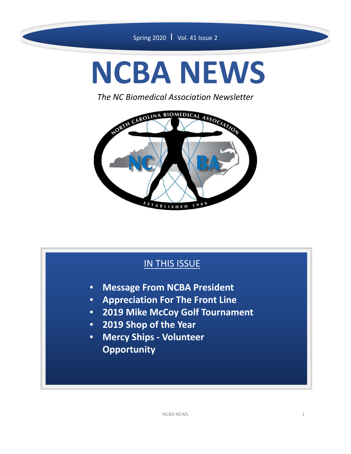# **NCBA NEWS**

*The NC Biomedical Association Newsletter*



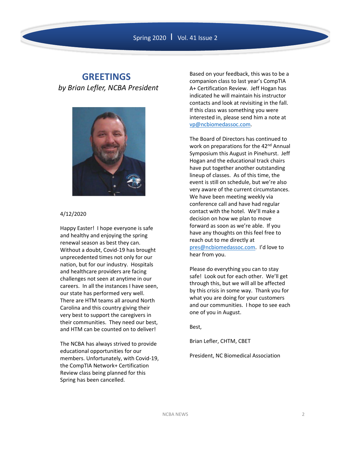#### **GREETINGS** *by Brian Lefler, NCBA President*



#### 4/12/2020

Happy Easter! I hope everyone is safe and healthy and enjoying the spring renewal season as best they can. Without a doubt, Covid‐19 has brought unprecedented times not only for our nation, but for our industry. Hospitals and healthcare providers are facing challenges not seen at anytime in our careers. In all the instances I have seen, our state has performed very well. There are HTM teams all around North Carolina and this country giving their very best to support the caregivers in their communities. They need our best, and HTM can be counted on to deliver!

The NCBA has always strived to provide educational opportunities for our members. Unfortunately, with Covid‐19, the CompTIA Network+ Certification Review class being planned for this Spring has been cancelled.

Based on your feedback, this was to be a companion class to last year's CompTIA A+ Certification Review. Jeff Hogan has indicated he will maintain his instructor contacts and look at revisiting in the fall. If this class was something you were interested in, please send him a note at vp@ncbiomedassoc.com.

The Board of Directors has continued to work on preparations for the 42<sup>nd</sup> Annual Symposium this August in Pinehurst. Jeff Hogan and the educational track chairs have put together another outstanding lineup of classes. As of this time, the event is still on schedule, but we're also very aware of the current circumstances. We have been meeting weekly via conference call and have had regular contact with the hotel. We'll make a decision on how we plan to move forward as soon as we're able. If you have any thoughts on this feel free to reach out to me directly at pres@ncbiomedassoc.com. I'd love to hear from you.

Please do everything you can to stay safe! Look out for each other. We'll get through this, but we will all be affected by this crisis in some way. Thank you for what you are doing for your customers and our communities. I hope to see each one of you in August.

Best,

Brian Lefler, CHTM, CBET

President, NC Biomedical Association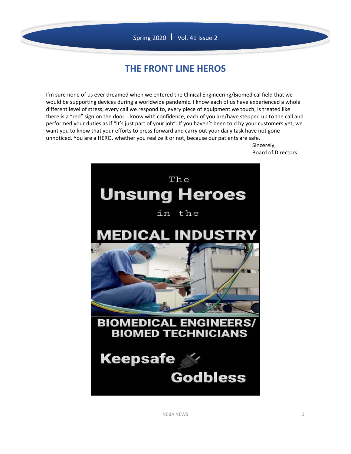#### Spring 2020 | Vol. 41 Issue 2

## **THE FRONT LINE HEROS**

I'm sure none of us ever dreamed when we entered the Clinical Engineering/Biomedical field that we would be supporting devices during a worldwide pandemic. I know each of us have experienced a whole different level of stress; every call we respond to, every piece of equipment we touch, is treated like there is a "red" sign on the door. I know with confidence, each of you are/have stepped up to the call and performed your duties as if "it's just part of your job". If you haven't been told by your customers yet, we want you to know that your efforts to press forward and carry out your daily task have not gone unnoticed. You are a HERO, whether you realize it or not, because our patients are safe.

Sincerely, Board of Directors



NCBA NEWS 3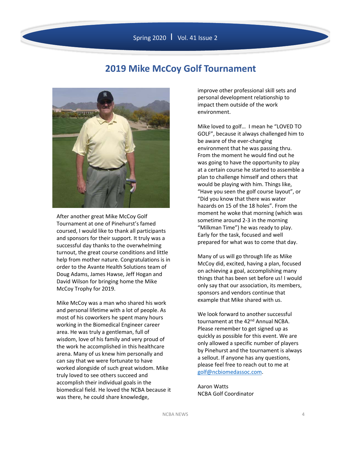#### **2019 Mike McCoy Golf Tournament**



After another great Mike McCoy Golf Tournament at one of Pinehurst's famed coursed, I would like to thank all participants and sponsors for their support. It truly was a successful day thanks to the overwhelming turnout, the great course conditions and little help from mother nature. Congratulations is in order to the Avante Health Solutions team of Doug Adams, James Hawse, Jeff Hogan and David Wilson for bringing home the Mike McCoy Trophy for 2019.

Mike McCoy was a man who shared his work and personal lifetime with a lot of people. As most of his coworkers he spent many hours working in the Biomedical Engineer career area. He was truly a gentleman, full of wisdom, love of his family and very proud of the work he accomplished in this healthcare arena. Many of us knew him personally and can say that we were fortunate to have worked alongside of such great wisdom. Mike truly loved to see others succeed and accomplish their individual goals in the biomedical field. He loved the NCBA because it was there, he could share knowledge,

improve other professional skill sets and personal development relationship to impact them outside of the work environment.

Mike loved to golf… I mean he "LOVED TO GOLF", because it always challenged him to be aware of the ever‐changing environment that he was passing thru. From the moment he would find out he was going to have the opportunity to play at a certain course he started to assemble a plan to challenge himself and others that would be playing with him. Things like, "Have you seen the golf course layout", or "Did you know that there was water hazards on 15 of the 18 holes". From the moment he woke that morning (which was sometime around 2‐3 in the morning "Milkman Time") he was ready to play. Early for the task, focused and well prepared for what was to come that day.

Many of us will go through life as Mike McCoy did, excited, having a plan, focused on achieving a goal, accomplishing many things that has been set before us! I would only say that our association, its members, sponsors and vendors continue that example that Mike shared with us.

We look forward to another successful tournament at the 42<sup>nd</sup> Annual NCBA. Please remember to get signed up as quickly as possible for this event. We are only allowed a specific number of players by Pinehurst and the tournament is always a sellout. If anyone has any questions, please feel free to reach out to me at golf@ncbiomedassoc.com.

Aaron Watts NCBA Golf Coordinator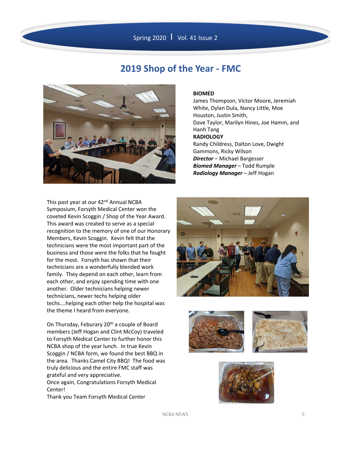

#### **2019 Shop of the Year ‐ FMC**



#### **BIOMED**

James Thompson, Victor Moore, Jeremiah White, Dylan Dula, Nancy Little, Moe Houston, Justin Smith, Dave Taylor, Marilyn Hines, Joe Hamm, and Hanh Tang **RADIOLOGY** Randy Childress, Dalton Love, Dwight Gammons, Ricky Wilson *Director* – Michael Bargesser *Biomed Manager* – Todd Rumple *Radiology Manager* – Jeff Hogan

This past year at our 42<sup>nd</sup> Annual NCBA Symposium, Forsyth Medical Center won the coveted Kevin Scoggin / Shop of the Year Award. This award was created to serve as a special recognition to the memory of one of our Honorary Members, Kevin Scoggin. Kevin felt that the technicians were the most important part of the business and those were the folks that he fought for the most. Forsyth has shown that their technicians are a wonderfully blended work family. They depend on each other, learn from each other, and enjoy spending time with one another. Older technicians helping newer technicians, newer techs helping older techs….helping each other help the hospital was the theme I heard from everyone.

On Thursday, Feburary 20<sup>th</sup> a couple of Board members (Jeff Hogan and Clint McCoy) traveled to Forsyth Medical Center to further honor this NCBA shop of the year lunch. In true Kevin Scoggin / NCBA form, we found the best BBQ in the area. Thanks Camel City BBQ! The food was truly delicious and the entire FMC staff was grateful and very appreciative. Once again, Congratulations Forsyth Medical

Center! Thank you Team Forsyth Medical Center







NCBA NEWS 5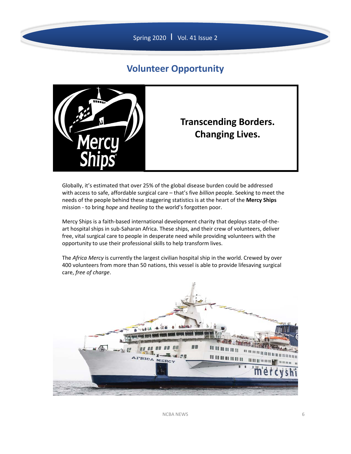

### **Volunteer Opportunity**



Globally, it's estimated that over 25% of the global disease burden could be addressed with access to safe, affordable surgical care – that's five *billion* people. Seeking to meet the needs of the people behind these staggering statistics is at the heart of the **Mercy Ships** mission ‐ to bring *hope* and *healing* to the world's forgotten poor.

Mercy Ships is a faith‐based international development charity that deploys state‐of‐the‐ art hospital ships in sub‐Saharan Africa. These ships, and their crew of volunteers, deliver free, vital surgical care to people in desperate need while providing volunteers with the opportunity to use their professional skills to help transform lives.

The *Africa Mercy* is currently the largest civilian hospital ship in the world. Crewed by over 400 volunteers from more than 50 nations, this vessel is able to provide lifesaving surgical care, *free of charge*.

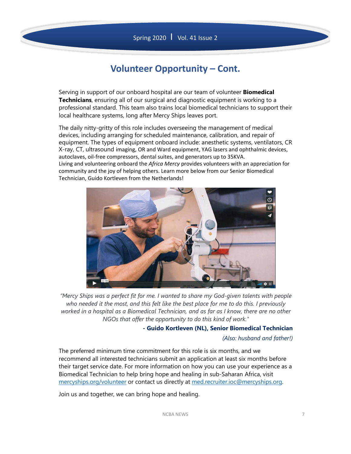## **Volunteer Opportunity – Cont.**

Serving in support of our onboard hospital are our team of volunteer **Biomedical Technicians**, ensuring all of our surgical and diagnostic equipment is working to a professional standard. This team also trains local biomedical technicians to support their local healthcare systems, long after Mercy Ships leaves port.

The daily nitty-gritty of this role includes overseeing the management of medical devices, including arranging for scheduled maintenance, calibration, and repair of equipment. The types of equipment onboard include: anesthetic systems, ventilators, CR X-ray, CT, ultrasound imaging, OR and Ward equipment, YAG lasers and ophthalmic devices, autoclaves, oil‐free compressors, dental suites, and generators up to 35KVA. Living and volunteering onboard the *Africa Mercy* provides volunteers with an appreciation for community and the joy of helping others. Learn more below from our Senior Biomedical Technician, Guido Kortleven from the Netherlands!



*"Mercy Ships was a perfect fit for me. I wanted to share my God-given talents with people who needed it the most, and this felt like the best place for me to do this. I previously worked in a hospital as a Biomedical Technician, and as far as I know, there are no other NGOs that offer the opportunity to do this kind of work."* 

**- Guido Kortleven (NL), Senior Biomedical Technician**

#### *(Also: husband and father!)*

The preferred minimum time commitment for this role is six months, and we recommend all interested technicians submit an application at least six months before their target service date. For more information on how you can use your experience as a Biomedical Technician to help bring hope and healing in sub-Saharan Africa, visit mercyships.org/volunteer or contact us directly at med.recruiter.ioc@mercyships.org.

Join us and together, we can bring hope and healing.